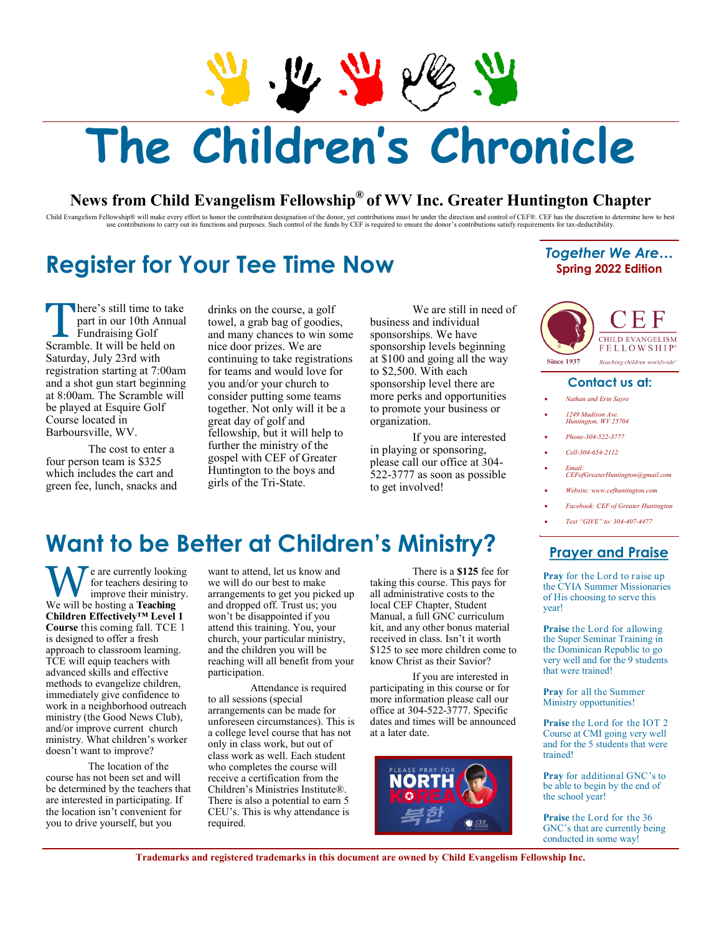$\frac{1}{2}$ 

# **The Children's Chronicle**

#### **News from Child Evangelism Fellowship® of WV Inc. Greater Huntington Chapter**

Child Evangelism Fellowship® will make every effort to honor the contribution designation of the donor, yet contributions must be under the direction and control of CEF®. CEF has the discretion to determine how to best<br>use

### **Register for Your Tee Time Now**

#### *Together We Are…* **Spring 2022 Edition**

here's still time to take Scramble. It will be held on Saturday, July 23rd with registration starting at 7:00am at 8:00am. The Scramble will There's still time to take<br>
part in our 10th Annua<br>
Fundraising Golf<br>
Seremble It will be held on part in our 10th Annual Fundraising Golf and a shot gun start beginning be played at Esquire Golf Course located in Barboursville, WV.

 The cost to enter a four person team is \$325 green fee, lunch, snacks and which includes the cart and

 drinks on the course, a golf towel, a grab bag of goodies, nice door prizes. We are continuing to take registrations for teams and would love for consider putting some teams together. Not only will it be a great day of golf and fellowship, but it will help to further the ministry of the gospel with CEF of Greater girls of the Tri-State. and many chances to win some you and/or your church to Huntington to the boys and

 We are still in need of sponsorships. We have sponsorship levels beginning at \$100 and going all the way sponsorship level there are to promote your business or business and individual to \$2,500. With each more perks and opportunities organization.

 If you are interested in playing or sponsoring, please call our office at 304- 522-3777 as soon as possible to get involved!



#### **Contact us at:**

- *Nathan and Erin Sayre*
- *1249 Madison Ave. Huntington, WV 25704*
- *Phone-304-522-3777*
- *Cell-304-654-2112*
- *Email: [CEFofGreaterHuntington@gmail.com](mailto:CEFofGreaterHuntington@gmail.com)*
- *Website: <www.cefhuntington.com>*
- *Facebook: CEF of Greater Huntington*
	- *Text "GIVE" to: 304-407-4477*

#### **Prayer and Praise**

 **Pray** for the Lord to raise up the CYIA Summer Missionaries of His choosing to serve this year!

 **Praise** the Lord for allowing the Super Seminar Training in the Dominican Republic to go very well and for the 9 students that were trained!

 **Pray** for all the Summer Ministry opportunities!

 **Praise** the Lord for the IOT 2 Course at CMI going very well and for the 5 students that were trained!

 **Pray** for additional GNC's to be able to begin by the end of the school year!

 **Praise** the Lord for the 36 GNC's that are currently being conducted in some way!

## **Want to be Better at Children's Ministry?**

e are currently looking We will be hosting a **Teaching Course** this coming fall. TCE 1 is designed to offer a fresh approach to classroom learning. methods to evangelize children, immediately give confidence to work in a neighborhood outreach ministry (the Good News Club), and/or improve current church We are currently looking<br>mprove their ministry<br>We will be bosting a Teoching for teachers desiring to improve their ministry. **Children Effectively™ Level 1** TCE will equip teachers with advanced skills and effective ministry. What children's worker doesn't want to improve?

 The location of the course has not been set and will be determined by the teachers that are interested in participating. If the location isn't convenient for you to drive yourself, but you

 want to attend, let us know and we will do our best to make arrangements to get you picked up and dropped off. Trust us; you won't be disappointed if you attend this training. You, your and the children you will be reaching will all benefit from your church, your particular ministry, participation.

 Attendance is required to all sessions (special arrangements can be made for a college level course that has not only in class work, but out of class work as well. Each student who completes the course will receive a certification from the There is also a potential to earn 5 CEU's. This is why attendance is unforeseen circumstances). This is Children's Ministries Institute®. required.

 taking this course. This pays for all administrative costs to the Manual, a full GNC curriculum kit, and any other bonus material received in class. Isn't it worth \$125 to see more children come to There is a **\$125** fee for local CEF Chapter, Student know Christ as their Savior?

 participating in this course or for more information please call our dates and times will be announced If you are interested in office at 304-522-3777. Specific at a later date.